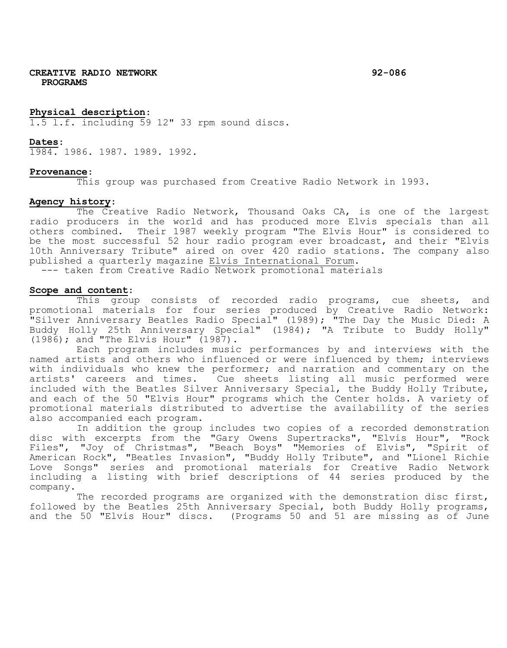**CREATIVE RADIO NETWORK 92-086 PROGRAMS**

#### **Physical description**:

1.5 l.f. including 59 12" 33 rpm sound discs.

#### **Dates**:

1984. 1986. 1987. 1989. 1992.

#### **Provenance**:

This group was purchased from Creative Radio Network in 1993.

### **Agency history**:

The Creative Radio Network, Thousand Oaks CA, is one of the largest radio producers in the world and has produced more Elvis specials than all others combined. Their 1987 weekly program "The Elvis Hour" is considered to be the most successful 52 hour radio program ever broadcast, and their "Elvis 10th Anniversary Tribute" aired on over 420 radio stations. The company also<br>published a quarterly magazine Elvis International Forum.

--- taken from Creative Radio Network promotional materials

#### **Scope and content**:

This group consists of recorded radio programs, cue sheets, and promotional materials for four series produced by Creative Radio Network: "Silver Anniversary Beatles Radio Special" (1989); "The Day the Music Died: A Buddy Holly 25th Anniversary Special" (1984); "A Tribute to Buddy Holly" (1986); and "The Elvis Hour" (1987).

Each program includes music performances by and interviews with the named artists and others who influenced or were influenced by them; interviews with individuals who knew the performer; and narration and commentary on the artists' careers and times. Cue sheets listing all music performed were included with the Beatles Silver Anniversary Special, the Buddy Holly Tribute, and each of the 50 "Elvis Hour" programs which the Center holds. A variety of promotional materials distributed to advertise the availability of the series also accompanied each program.

In addition the group includes two copies of a recorded demonstration disc with excerpts from the "Gary Owens Supertracks", "Elvis Hour", "Rock Files", "Joy of Christmas", "Beach Boys" "Memories of Elvis", "Spirit of American Rock", "Beatles Invasion", "Buddy Holly Tribute", and "Lionel Richie Love Songs" series and promotional materials for Creative Radio Network including a listing with brief descriptions of 44 series produced by the company.

The recorded programs are organized with the demonstration disc first, followed by the Beatles 25th Anniversary Special, both Buddy Holly programs, and the 50 "Elvis Hour" discs. (Programs 50 and 51 are missing as of June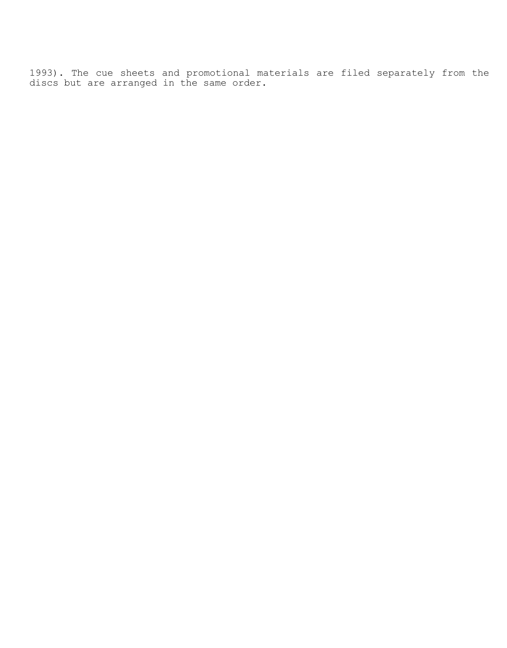1993). The cue sheets and promotional materials are filed separately from the discs but are arranged in the same order.